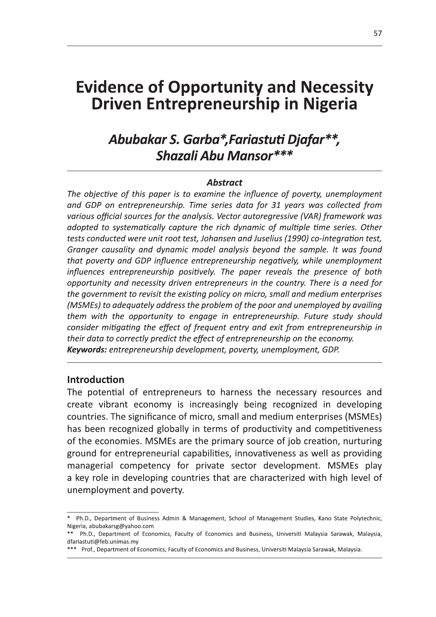# **Evidence of Opportunity and Necessity<br>Ruisse Entremenaurable in Nicoria** Driven Entrepreneurship in Nigeria

**Evidence of Opportunity and Necessity**<br> **Driven Entrepreneurship in Nigeria**<br> **Abubakar S. Garba\*, Fariastuti Djafar\*\*,**<br> **Abubakar S. Garba\*, Fariastuti Djafar\*\*,**<br> **Shazali Abu Mansor\*\*\***<br>
The objective of this paper i them with the opportunity to engage in entrepreneurship. Future study should consider mitigating the effect of frequent entry and exit from entrepreneurship in<br>their data to correctly predict the effect of entrepreneurship on the economy. Indiperior and GDP implence entrepreneurship pergoneury, while unemployment<br>influences entrepreneurship positively. The paper reveals the presence of both<br>opportunity and necessity driven entrepreneurs in the country. Ther

ground for entrepreneurial capabilities, innovativeness as well as providing managerial competency for private sector development. MSMEs play a key role in developing countries that are characterized with high level of unemployment and poverty.

Ph.D., Department of Business Admin & Management, School of Management Studies, Kano State Polytechnic, Nigeria, abubakarsg@yahoo.com

<sup>\*</sup> Ph.D., Department of Economics, Faculty of Economics and Business, Universiti Malaysia Sarawak, Malaysia, dfariastuti@feb.unimas.mv

<sup>\*\*\*</sup> Prof., Department of Economics, Faculty of Economics and Business, Universiti Malaysia Sarawak, Malaysia.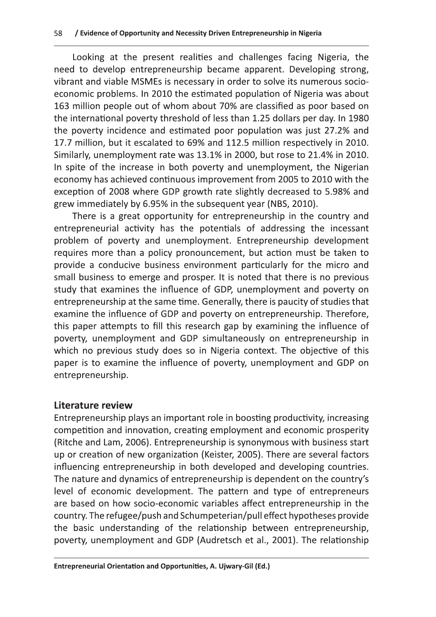Looking at the present realities and challenges facing Nigeria, the need to develop entrepreneurship became apparent. Developing strong, vibrant and viable MSMEs is necessary in order to solve its numerous socioeconomic problems. In 2010 the estimated population of Nigeria was about 163 million people out of whom about 70% are classified as poor based on the international poverty threshold of less than 1.25 dollars per day. In 1980 the poverty incidence and estimated poor population was just 27.2% and 17.7 million, but it escalated to 69% and 112.5 million respectively in 2010. Similarly, unemployment rate was 13.1% in 2000, but rose to 21.4% in 2010. In spite of the increase in both poverty and unemployment, the Nigerian economy has achieved continuous improvement from 2005 to 2010 with the exception of 2008 where GDP growth rate slightly decreased to 5.98% and grew immediately by 6.95% in the subsequent year (NBS, 2010).

There is a great opportunity for entrepreneurship in the country and entrepreneurial activity has the potentials of addressing the incessant problem of poverty and unemployment. Entrepreneurship development requires more than a policy pronouncement, but action must be taken to provide a conducive business environment particularly for the micro and small business to emerge and prosper. It is noted that there is no previous study that examines the influence of GDP, unemployment and poverty on entrepreneurship at the same time. Generally, there is paucity of studies that examine the influence of GDP and poverty on entrepreneurship. Therefore, this paper attempts to fill this research gap by examining the influence of poverty, unemployment and GDP simultaneously on entrepreneurship in which no previous study does so in Nigeria context. The objective of this paper is to examine the influence of poverty, unemployment and GDP on entrepreneurship.

## **Literature review**

Entrepreneurship plays an important role in boosting productivity, increasing competition and innovation, creating employment and economic prosperity (Ritche and Lam, 2006). Entrepreneurship is synonymous with business start up or creation of new organization (Keister, 2005). There are several factors influencing entrepreneurship in both developed and developing countries. The nature and dynamics of entrepreneurship is dependent on the country's level of economic development. The pattern and type of entrepreneurs are based on how socio-economic variables affect entrepreneurship in the country. The refugee/push and Schumpeterian/pull effect hypotheses provide the basic understanding of the relationship between entrepreneurship, poverty, unemployment and GDP (Audretsch et al., 2001). The relationship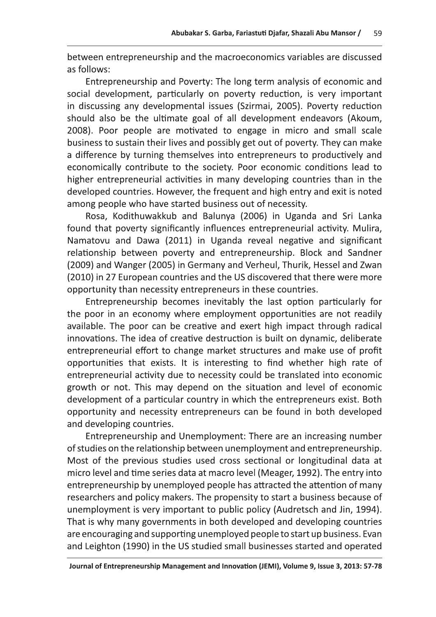Abubakar S. Garba, Fariastuti Djafar, Shazali Abu Mansor / 59<br>between entrepreneurship and the macroeconomics variables are discussed<br>as follows:<br>Entrepreneurship and Poverty: The long term analysis of economic and<br>social 2008). Poor people are motivated to engage in micro and small scale business to sustain their lives and possibly get out of poverty. They can make a difference by turning themselves into entrepreneurs to productively and economically contribute to the society. Poor economic conditions lead to higher entrepreneurial activities in many developing countries than in the developed countries. However, the frequent and high entry and exit is noted among people who have started business out of necessity.

Rosa, Kodithuwakkub and Balunya (2006) in Uganda and Sri Lanka found that poverty significantly influences entrepreneurial activity. Mulira, Namatovu and Dawa (2011) in Uganda reveal negative and significant relationship between poverty and entrepreneurship. Block and Sandner economically contribute to the society. Poor economic conditions lead to<br>higher entrepreneurial activities in many developing countries than in the<br>developed countries. However, the frequent and high entry and exit is note

entrepreneurial activity due to necessity could be translated into economic growth or not. This may depend on the situation and level of economic development of a particular country in which the entrepreneurs exist. Both opportunity and necessity entrepreneurs can be found in both developed and developing countries.

Entrepreneurship and Unemployment: There are an increasing number of studies on the relationship between unemployment and entrepreneurship.<br>Most of the previous studies used cross sectional or longitudinal data at entrepreneural activity due to recessivy could be translated into economic<br>growth or not. This may depend on the situation and level of economic<br>development of a particular country in which the entrepreneurs exist. Both<br>op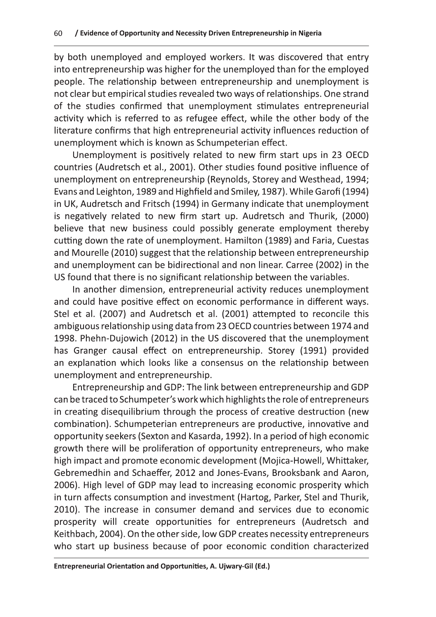by both unemployed and employed workers. It was discovered that entry into entrepreneurship was higher for the unemployed than for the employed people. The relationship between entrepreneurship and unemployment is not clear but empirical studies revealed two ways of relationships. One strand of the studies confirmed that unemployment stimulates entrepreneurial activity which is referred to as refugee effect, while the other body of the literature confirms that high entrepreneurial activity influences reduction of unemployment which is known as Schumpeterian effect.

Unemployment is positively related to new firm start ups in 23 OECD countries (Audretsch et al., 2001). Other studies found positive influence of unemployment on entrepreneurship (Reynolds, Storey and Westhead, 1994; Evans and Leighton, 1989 and Highfield and Smiley, 1987). While Garofi (1994) in UK, Audretsch and Fritsch (1994) in Germany indicate that unemployment is negatively related to new firm start up. Audretsch and Thurik, (2000) believe that new business could possibly generate employment thereby cutting down the rate of unemployment. Hamilton (1989) and Faria, Cuestas and Mourelle (2010) suggest that the relationship between entrepreneurship and unemployment can be bidirectional and non linear. Carree (2002) in the US found that there is no significant relationship between the variables.

In another dimension, entrepreneurial activity reduces unemployment and could have positive effect on economic performance in different ways. Stel et al. (2007) and Audretsch et al. (2001) attempted to reconcile this ambiguous relationship using data from 23 OECD countries between 1974 and 1998. Phehn-Dujowich (2012) in the US discovered that the unemployment has Granger causal effect on entrepreneurship. Storey (1991) provided an explanation which looks like a consensus on the relationship between unemployment and entrepreneurship.

Entrepreneurship and GDP: The link between entrepreneurship and GDP can be traced to Schumpeter's work which highlights the role of entrepreneurs in creating disequilibrium through the process of creative destruction (new combination). Schumpeterian entrepreneurs are productive, innovative and opportunity seekers (Sexton and Kasarda, 1992). In a period of high economic growth there will be proliferation of opportunity entrepreneurs, who make high impact and promote economic development (Mojica-Howell, Whittaker, Gebremedhin and Schaeffer, 2012 and Jones-Evans, Brooksbank and Aaron, 2006). High level of GDP may lead to increasing economic prosperity which in turn affects consumption and investment (Hartog, Parker, Stel and Thurik, 2010). The increase in consumer demand and services due to economic prosperity will create opportunities for entrepreneurs (Audretsch and Keithbach, 2004). On the other side, low GDP creates necessity entrepreneurs who start up business because of poor economic condition characterized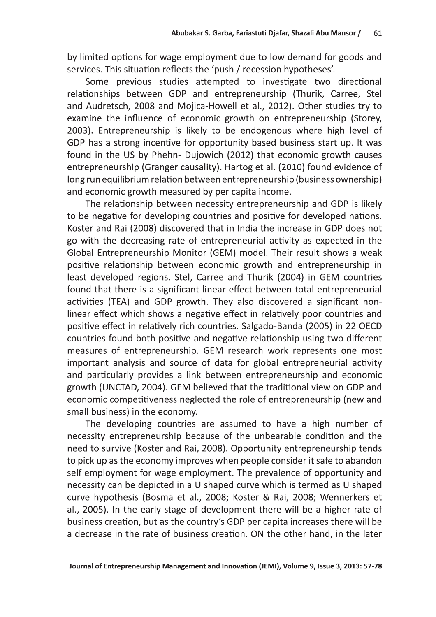by limited options for wage employment due to low demand for goods and services. This situation reflects the 'push / recession hypotheses'.

Some previous studies attempted to investigate two directional relationships between GDP and entrepreneurship (Thurik, Carree, Stel and Audretsch, 2008 and Mojica-Howell et al., 2012). Other studies try to examine the influence of economic growth on entrepreneurship (Storey, 2003). Entrepreneurship is likely to be endogenous where high level of GDP has a strong incentive for opportunity based business start up. It was found in the US by Phehn- Dujowich (2012) that economic growth causes entrepreneurship (Granger causality). Hartog et al. (2010) found evidence of long run equilibrium relation between entrepreneurship (business ownership) and economic growth measured by per capita income.

The relationship between necessity entrepreneurship and GDP is likely to be negative for developing countries and positive for developed nations. Koster and Rai (2008) discovered that in India the increase in GDP does not go with the decreasing rate of entrepreneurial activity as expected in the Global Entrepreneurship Monitor (GEM) model. Their result shows a weak positive relationship between economic growth and entrepreneurship in least developed regions. Stel, Carree and Thurik (2004) in GEM countries found that there is a significant linear effect between total entrepreneurial activities (TEA) and GDP growth. They also discovered a significant nonlinear effect which shows a negative effect in relatively poor countries and positive effect in relatively rich countries. Salgado-Banda (2005) in 22 OECD countries found both positive and negative relationship using two different measures of entrepreneurship. GEM research work represents one most important analysis and source of data for global entrepreneurial activity and particularly provides a link between entrepreneurship and economic growth (UNCTAD, 2004). GEM believed that the traditional view on GDP and economic competitiveness neglected the role of entrepreneurship (new and small business) in the economy.

The developing countries are assumed to have a high number of necessity entrepreneurship because of the unbearable condition and the need to survive (Koster and Rai, 2008). Opportunity entrepreneurship tends to pick up as the economy improves when people consider it safe to abandon self employment for wage employment. The prevalence of opportunity and necessity can be depicted in a U shaped curve which is termed as U shaped curve hypothesis (Bosma et al., 2008; Koster & Rai, 2008; Wennerkers et al., 2005). In the early stage of development there will be a higher rate of business creation, but as the country's GDP per capita increases there will be a decrease in the rate of business creation. ON the other hand, in the later

Journal of Entrepreneurship Management and Innovation (JEMI), Volume 9, Issue 3, 2013: 57-78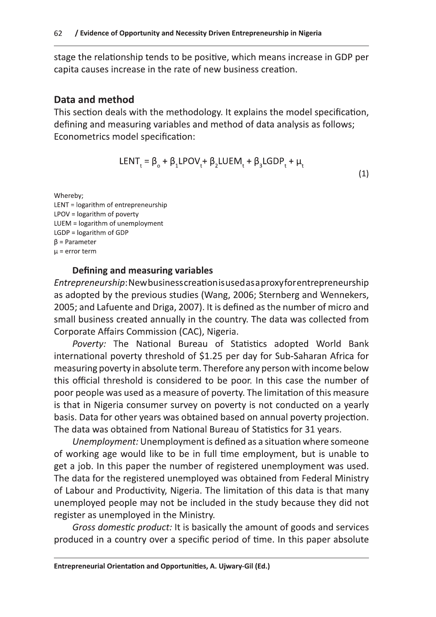stage the relationship tends to be positive, which means increase in GDP per capita causes increase in the rate of new business creation.

## Data and method

This section deals with the methodology. It explains the model specification, defining and measuring variables and method of data analysis as follows; Econometrics model specification:

$$
LENT_t = \beta_o + \beta_1 LPOV_t + \beta_2 LUEM_t + \beta_3 LGDP_t + \mu_t
$$
\n(1)

Whereby; LENT = logarithm of entrepreneurship LPOV = logarithm of poverty LUEM = logarithm of unemployment  $LGDP = logarithm of GDP$  $\beta$  = Parameter  $\mu$  = error term

### Defining and measuring variables

Entrepreneurship: New business creation is used as a proxy for entrepreneurship as adopted by the previous studies (Wang, 2006; Sternberg and Wennekers, 2005; and Lafuente and Driga, 2007). It is defined as the number of micro and small business created annually in the country. The data was collected from Corporate Affairs Commission (CAC), Nigeria.

Poverty: The National Bureau of Statistics adopted World Bank international poverty threshold of \$1.25 per day for Sub-Saharan Africa for measuring poverty in absolute term. Therefore any person with income below this official threshold is considered to be poor. In this case the number of poor people was used as a measure of poverty. The limitation of this measure is that in Nigeria consumer survey on poverty is not conducted on a yearly basis. Data for other years was obtained based on annual poverty projection. The data was obtained from National Bureau of Statistics for 31 years.

Unemployment: Unemployment is defined as a situation where someone of working age would like to be in full time employment, but is unable to get a job. In this paper the number of registered unemployment was used. The data for the registered unemployed was obtained from Federal Ministry of Labour and Productivity, Nigeria. The limitation of this data is that many unemployed people may not be included in the study because they did not register as unemployed in the Ministry.

Gross domestic product: It is basically the amount of goods and services produced in a country over a specific period of time. In this paper absolute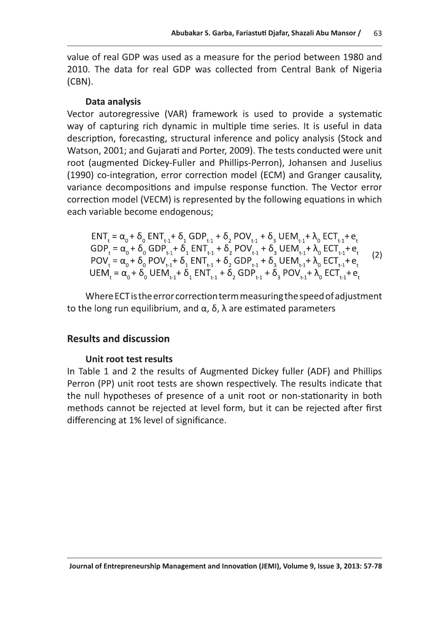Abubakar S. Garba, Fariastuti Djafar, Shazali Abu Mansor / 63<br>Value of real GDP was used as a measure for the period between 1980 and<br>2010. The data for real GDP was collected from Central Bank of Nigeria<br>(CBN).<br>**Data anal** 

way of capturing rich dynamic in multiple time series. It is useful in data description, forecasting, structural inference and policy analysis (Stock and Watson, 2001; and Gujarati and Porter, 2009). The tests conducted were unit root (augmented Dickey-Fuller and Phillips-Perron), Johansen and Juselius (1990) co-integration, error correction model (ECM) and Granger causality, variance decompositions and impulse response function. The Vector error correction model (VECM) is represented by the following equations in which each variable become endogenous;

variance decompositions and impulse response function. The Vector error  
correction model (VECM) is represented by the following equations in which  
each variable become endogenous;  

$$
ENT_{t} = \alpha_{0} + \delta_{0} ENT_{t-1} + \delta_{1} GDP_{t-1} + \delta_{2} POV_{t-1} + \delta_{3} UEM_{t-1} + \lambda_{0} ECT_{t-1} + e_{t}
$$

$$
GDP_{t} = \alpha_{0} + \delta_{0} GDP_{t-1} + \delta_{1} ENT_{t-1} + \delta_{2} POV_{t-1} + \delta_{3} UEM_{t-1} + \lambda_{0} ECT_{t-1} + e_{t}
$$

$$
POV_{t} = \alpha_{0} + \delta_{0} POV_{t-1} + \delta_{1} ENT_{t-1} + \delta_{2} GDP_{t-1} + \delta_{3} UEM_{t-1} + \lambda_{0} ECT_{t-1} + e_{t}
$$

$$
UEM_{t} = \alpha_{0} + \delta_{0} UEM_{t-1} + \delta_{1} ENT_{t-1} + \delta_{2} GDP_{t-1} + \delta_{3} POV_{t-1} + \lambda_{0} ECT_{t-1} + e_{t}
$$

$$
Where ECT is the error correction term measuring the speed of adjustment to the long run equilibrium, and  $\alpha$ ,  $\delta$ ,  $\lambda$  are estimated parameters
$$
**Results and discussion**

## Unit root test results

In Table 1 and 2 the results of Augmented Dickey fuller (ADF) and Phillips Perron (PP) unit root tests are shown respectively. The results indicate that the null hypotheses of presence of a unit root or non-stationarity in both methods cannot be rejected at level form, but it can be rejected after first differencing at 1% level of significance.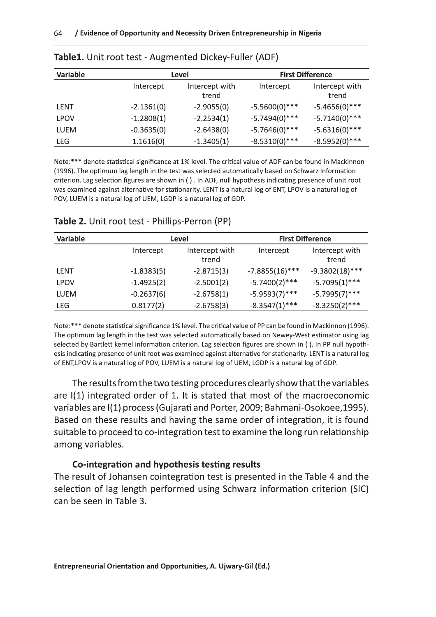| <b>Variable</b> | Level        |                         |                  | <b>First Difference</b> |
|-----------------|--------------|-------------------------|------------------|-------------------------|
|                 | Intercept    | Intercept with<br>trend | Intercept        | Intercept with<br>trend |
| LENT            | $-2.1361(0)$ | $-2.9055(0)$            | $-5.5600(0)$ *** | $-5.4656(0)$ ***        |
| <b>LPOV</b>     | $-1.2808(1)$ | $-2.2534(1)$            | $-5.7494(0)$ *** | $-5.7140(0)$ ***        |
| LUEM            | $-0.3635(0)$ | $-2.6438(0)$            | $-5.7646(0)$ *** | $-5.6316(0)$ ***        |
| LEG             | 1.1616(0)    | $-1.3405(1)$            | $-8.5310(0)***$  | $-8.5952(0)$ ***        |

|  | Table1. Unit root test - Augmented Dickey-Fuller (ADF) |  |  |
|--|--------------------------------------------------------|--|--|
|--|--------------------------------------------------------|--|--|

Note:\*\*\* denote statistical significance at 1% level. The critical value of ADF can be found in Mackinnon (1996). The optimum lag length in the test was selected automatically based on Schwarz Information criterion. Lag selection figures are shown in (). In ADF, null hypothesis indicating presence of unit root was examined against alternative for stationarity. LENT is a natural log of ENT, LPOV is a natural log of POV, LUEM is a natural log of UEM, LGDP is a natural log of GDP.

| Variable    | Level        |                         | <b>First Difference</b> |                         |  |
|-------------|--------------|-------------------------|-------------------------|-------------------------|--|
|             | Intercept    | Intercept with<br>trend | Intercept               | Intercept with<br>trend |  |
| LENT        | $-1.8383(5)$ | $-2.8715(3)$            | $-7.8855(16)$ ***       | $-9.3802(18)$ ***       |  |
| <b>LPOV</b> | $-1.4925(2)$ | $-2.5001(2)$            | $-5.7400(2)$ ***        | $-5.7095(1)$ ***        |  |
| <b>LUEM</b> | $-0.2637(6)$ | $-2.6758(1)$            | $-5.9593(7)$ ***        | $-5.7995(7)$ ***        |  |
| LEG         | 0.8177(2)    | $-2.6758(3)$            | $-8.3547(1)$ ***        | $-8.3250(2)$ ***        |  |

## Table 2. Unit root test - Phillips-Perron (PP)

Note:\*\*\* denote statistical significance 1% level. The critical value of PP can be found in Mackinnon (1996). The optimum lag length in the test was selected automatically based on Newey-West estimator using lag selected by Bartlett kernel information criterion. Lag selection figures are shown in (). In PP null hypothesis indicating presence of unit root was examined against alternative for stationarity. LENT is a natural log of ENT, LPOV is a natural log of POV, LUEM is a natural log of UEM, LGDP is a natural log of GDP.

The results from the two testing procedures clearly show that the variables are I(1) integrated order of 1. It is stated that most of the macroeconomic variables are I(1) process (Gujarati and Porter, 2009; Bahmani-Osokoee, 1995). Based on these results and having the same order of integration, it is found suitable to proceed to co-integration test to examine the long run relationship among variables.

### Co-integration and hypothesis testing results

The result of Johansen cointegration test is presented in the Table 4 and the selection of lag length performed using Schwarz information criterion (SIC) can be seen in Table 3.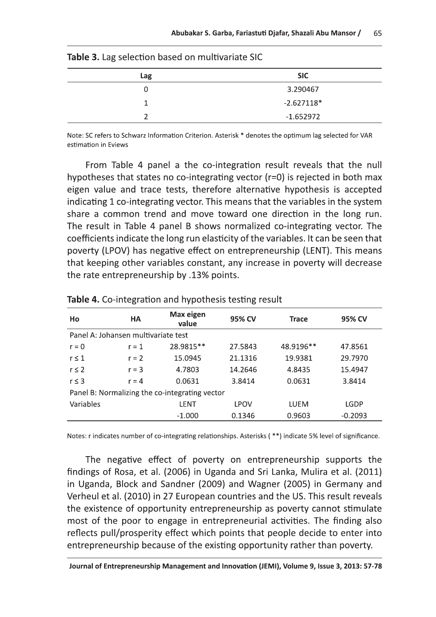| <b>Table 3.</b> Lag selection based on multivariate SIC |              |
|---------------------------------------------------------|--------------|
| Lag                                                     | <b>SIC</b>   |
| 0                                                       | 3.290467     |
|                                                         | $-2.627118*$ |
|                                                         | $-1.652972$  |

| Table 3. Lag selection based on multivariate SIG |  |  |  |  |  |
|--------------------------------------------------|--|--|--|--|--|
|--------------------------------------------------|--|--|--|--|--|

Note: SC refers to Schwarz Information Criterion. Asterisk \* denotes the optimum lag selected for VAR estimation in Eviews

From Table 4 panel a the co-integration result reveals that the null hypotheses that states no co-integrating vector  $(r=0)$  is rejected in both max eigen value and trace tests, therefore alternative hypothesis is accepted indicating 1 co-integrating vector. This means that the variables in the system share a common trend and move toward one direction in the long run. The result in Table 4 panel B shows normalized co-integrating vector. The coefficients indicate the long run elasticity of the variables. It can be seen that poverty (LPOV) has negative effect on entrepreneurship (LENT). This means that keeping other variables constant, any increase in poverty will decrease the rate entrepreneurship by .13% points.

| Ho                                                                 | <b>HA</b> | Max eigen<br>value | 95% CV      | <b>Trace</b> | 95% CV    |  |  |  |  |
|--------------------------------------------------------------------|-----------|--------------------|-------------|--------------|-----------|--|--|--|--|
| Panel A: Johansen multivariate test                                |           |                    |             |              |           |  |  |  |  |
| 28.9815**<br>27.5843<br>48.9196**<br>$r = 0$<br>$r = 1$<br>47.8561 |           |                    |             |              |           |  |  |  |  |
| $r \leq 1$                                                         | $r = 2$   | 15.0945            | 21.1316     | 19.9381      | 29.7970   |  |  |  |  |
| $r \leq 2$<br>$r = 3$                                              |           | 4.7803             | 14.2646     | 4.8435       | 15.4947   |  |  |  |  |
| $r \leq 3$<br>$r = 4$                                              |           | 0.0631             | 3.8414      | 0.0631       | 3.8414    |  |  |  |  |
| Panel B: Normalizing the co-integrating vector                     |           |                    |             |              |           |  |  |  |  |
| Variables                                                          |           | <b>LENT</b>        | <b>LPOV</b> | LUEM         | LGDP      |  |  |  |  |
|                                                                    |           | $-1.000$           | 0.1346      | 0.9603       | $-0.2093$ |  |  |  |  |

**Table 4.** Co-integration and hypothesis testing result

Notes: r indicates number of co-integrating relationships. Asterisks (\*\*) indicate 5% level of significance.

The negative effect of poverty on entrepreneurship supports the findings of Rosa, et al. (2006) in Uganda and Sri Lanka, Mulira et al. (2011) in Uganda, Block and Sandner (2009) and Wagner (2005) in Germany and Verheul et al. (2010) in 27 European countries and the US. This result reveals the existence of opportunity entrepreneurship as poverty cannot stimulate most of the poor to engage in entrepreneurial activities. The finding also reflects pull/prosperity effect which points that people decide to enter into entrepreneurship because of the existing opportunity rather than poverty.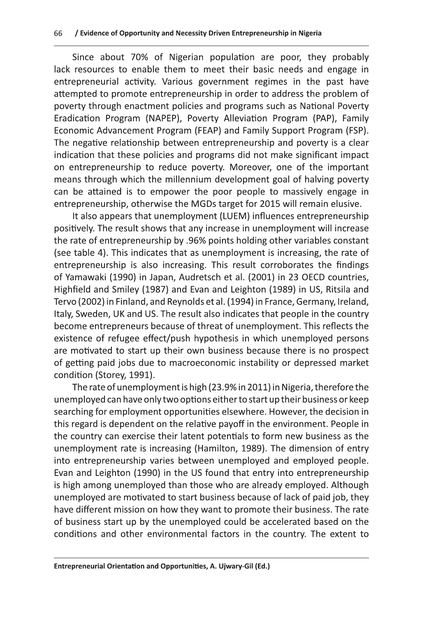Since about 70% of Nigerian population are poor, they probably lack resources to enable them to meet their basic needs and engage in entrepreneurial activity. Various government regimes in the past have attempted to promote entrepreneurship in order to address the problem of poverty through enactment policies and programs such as National Poverty Eradication Program (NAPEP), Poverty Alleviation Program (PAP), Family Economic Advancement Program (FEAP) and Family Support Program (FSP). The negative relationship between entrepreneurship and poverty is a clear indication that these policies and programs did not make significant impact on entrepreneurship to reduce poverty. Moreover, one of the important means through which the millennium development goal of halving poverty can be attained is to empower the poor people to massively engage in entrepreneurship, otherwise the MGDs target for 2015 will remain elusive.

It also appears that unemployment (LUEM) influences entrepreneurship positively. The result shows that any increase in unemployment will increase the rate of entrepreneurship by .96% points holding other variables constant (see table 4). This indicates that as unemployment is increasing, the rate of entrepreneurship is also increasing. This result corroborates the findings of Yamawaki (1990) in Japan, Audretsch et al. (2001) in 23 OECD countries, Highfield and Smiley (1987) and Evan and Leighton (1989) in US, Ritsila and Tervo (2002) in Finland, and Reynolds et al. (1994) in France, Germany, Ireland, Italy, Sweden, UK and US. The result also indicates that people in the country become entrepreneurs because of threat of unemployment. This reflects the existence of refugee effect/push hypothesis in which unemployed persons are motivated to start up their own business because there is no prospect of getting paid jobs due to macroeconomic instability or depressed market condition (Storey, 1991).

The rate of unemployment is high (23.9% in 2011) in Nigeria, therefore the unemployed can have only two options either to start up their business or keep searching for employment opportunities elsewhere. However, the decision in this regard is dependent on the relative payoff in the environment. People in the country can exercise their latent potentials to form new business as the unemployment rate is increasing (Hamilton, 1989). The dimension of entry into entrepreneurship varies between unemployed and employed people. Evan and Leighton (1990) in the US found that entry into entrepreneurship is high among unemployed than those who are already employed. Although unemployed are motivated to start business because of lack of paid job, they have different mission on how they want to promote their business. The rate of business start up by the unemployed could be accelerated based on the conditions and other environmental factors in the country. The extent to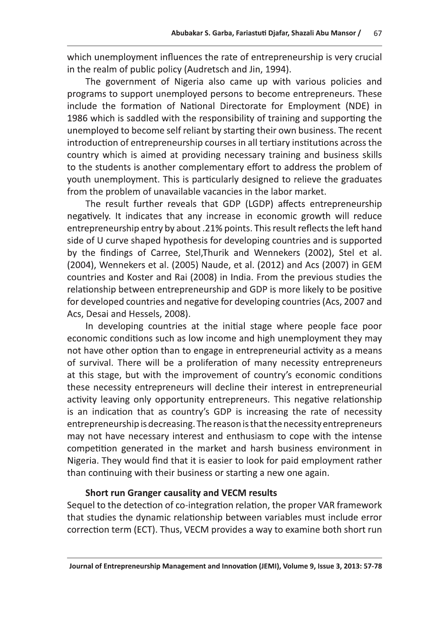Abubakar S. Garba, Fariastuti Djafar, Shazali Abu Mansor / 67<br>
which unemployment influences the rate of entrepreneurship is very crucial<br>
in the realm of public policy (Audretsch and Jin, 1994).<br>
The government of Nigeria anemployed to become self reliant by starting their own business. The recent introduction of entrepreneurship courses in all tertiary institutions across the country which is aimed at providing necessary training and business skills to the students is another complementary effort to address the problem of youth unemployment. This is particularly designed to relieve the graduates from the problem of unavailable vacancies in the labor market.

The result further reveals that GDP (LGDP) affects entrepreneurship negatively. It indicates that any increase in economic growth will reduce entrepreneurship entry by about .21% points. This result reflects the left hand side of U curve shaped hypothesis for developing countries and is supported<br>by the findings of Carree, Stel, Thurik and Wennekers (2002), Stel et al. to the students is an<br>orientation of the students of the and the products of the students of<br>the production the problem of unavailable vacancies in the labor market.<br>The result further reveals that GDP (LGDP) affects entre

is an indication that as country's GDP is increasing the rate of necessity entrepreneurship is decreasing. The reason is that the necessity entrepreneurs may not have necessary interest and enthusiasm to cope with the intense competition generated in the market and harsh business environment in Nigeria. They would find that it is easier to look for paid employment rather than continuing with their business or starting a new one again.

## Short run Granger causality and VECM results

Sequel to the detection of co-integration relation, the proper VAR framework that studies the dynamic relationship between variables must include error correction term (ECT). Thus, VECM provides a way to examine both short run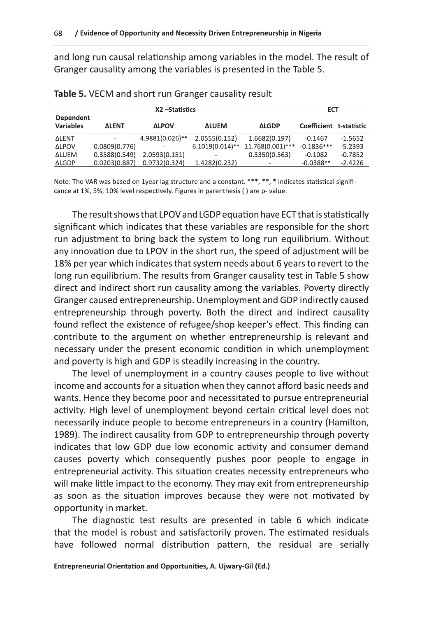and long run causal relationship among variables in the model. The result of Granger causality among the variables is presented in the Table 5.

|                                      |                          | X2-Statistics   |                          |                                  | <b>ECT</b>              |           |
|--------------------------------------|--------------------------|-----------------|--------------------------|----------------------------------|-------------------------|-----------|
| <b>Dependent</b><br><b>Variables</b> | <b>ALENT</b>             | <b>ALPOV</b>    | <b>ALUEM</b>             | <b>ALGDP</b>                     | Coefficient t-statistic |           |
| <b>ALENT</b>                         | $\overline{\phantom{a}}$ | 4.9881(0.026)** | 2.0555(0.152)            | 1.6682(0.197)                    | $-0.1467$               | $-1.5652$ |
| <b>ALPOV</b>                         | 0.0809(0.776)            |                 |                          | 6.1019(0.014)** 11.768(0.001)*** | $-0.1836***$            | $-5.2393$ |
| <b>ALUEM</b>                         | 0.3588(0.549)            | 2.0593(0.151)   | $\overline{\phantom{0}}$ | 0.3350(0.563)                    | $-0.1082$               | $-0.7852$ |
| ΔLGDP                                | 0.0203(0.887)            | 0.9732(0.324)   | 1.4282(0.232)            | $\overline{\phantom{a}}$         | $-0.0388**$             | $-2.4226$ |

| Table 5. VECM and short run Granger causality result |  |  |  |  |  |  |  |
|------------------------------------------------------|--|--|--|--|--|--|--|
|------------------------------------------------------|--|--|--|--|--|--|--|

Note: The VAR was based on 1year lag structure and a constant. \*\*\*, \*\*, \* indicates statistical significance at 1%, 5%, 10% level respectively. Figures in parenthesis () are p-value.

The result shows that LPOV and LGDP equation have ECT that is statistically significant which indicates that these variables are responsible for the short run adjustment to bring back the system to long run equilibrium. Without any innovation due to LPOV in the short run, the speed of adjustment will be 18% per year which indicates that system needs about 6 years to revert to the long run equilibrium. The results from Granger causality test in Table 5 show direct and indirect short run causality among the variables. Poverty directly Granger caused entrepreneurship. Unemployment and GDP indirectly caused entrepreneurship through poverty. Both the direct and indirect causality found reflect the existence of refugee/shop keeper's effect. This finding can contribute to the argument on whether entrepreneurship is relevant and necessary under the present economic condition in which unemployment and poverty is high and GDP is steadily increasing in the country.

The level of unemployment in a country causes people to live without income and accounts for a situation when they cannot afford basic needs and wants. Hence they become poor and necessitated to pursue entrepreneurial activity. High level of unemployment beyond certain critical level does not necessarily induce people to become entrepreneurs in a country (Hamilton, 1989). The indirect causality from GDP to entrepreneurship through poverty indicates that low GDP due low economic activity and consumer demand causes poverty which consequently pushes poor people to engage in entrepreneurial activity. This situation creates necessity entrepreneurs who will make little impact to the economy. They may exit from entrepreneurship as soon as the situation improves because they were not motivated by opportunity in market.

The diagnostic test results are presented in table 6 which indicate that the model is robust and satisfactorily proven. The estimated residuals have followed normal distribution pattern, the residual are serially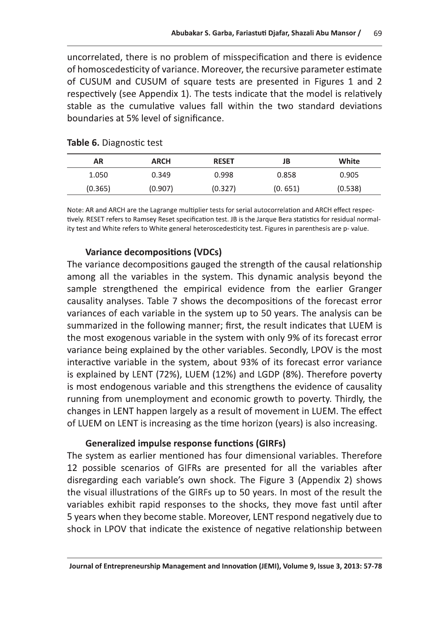uncorrelated, there is no problem of misspecification and there is evidence of homoscedesticity of variance. Moreover, the recursive parameter estimate of CUSUM and CUSUM of square tests are presented in Figures 1 and 2 respectively (see Appendix 1). The tests indicate that the model is relatively stable as the cumulative values fall within the two standard deviations boundaries at 5% level of significance.

| <b>AR</b> | <b>ARCH</b> | <b>RESET</b> | JB      | White   |
|-----------|-------------|--------------|---------|---------|
| 1.050     | 0.349       | 0.998        | 0.858   | 0.905   |
| (0.365)   | (0.907)     | (0.327)      | (0.651) | (0.538) |

## Table 6. Diagnostic test

Note: AR and ARCH are the Lagrange multiplier tests for serial autocorrelation and ARCH effect respectively. RESET refers to Ramsey Reset specification test. JB is the Jarque Bera statistics for residual normality test and White refers to White general heteroscedesticity test. Figures in parenthesis are p-value.

## **Variance decompositions (VDCs)**

The variance decompositions gauged the strength of the causal relationship among all the variables in the system. This dynamic analysis beyond the sample strengthened the empirical evidence from the earlier Granger causality analyses. Table 7 shows the decompositions of the forecast error variances of each variable in the system up to 50 years. The analysis can be summarized in the following manner; first, the result indicates that LUEM is the most exogenous variable in the system with only 9% of its forecast error variance being explained by the other variables. Secondly, LPOV is the most interactive variable in the system, about 93% of its forecast error variance is explained by LENT (72%), LUEM (12%) and LGDP (8%). Therefore poverty is most endogenous variable and this strengthens the evidence of causality running from unemployment and economic growth to poverty. Thirdly, the changes in LENT happen largely as a result of movement in LUEM. The effect of LUEM on LENT is increasing as the time horizon (years) is also increasing.

## **Generalized impulse response functions (GIRFs)**

The system as earlier mentioned has four dimensional variables. Therefore 12 possible scenarios of GIFRs are presented for all the variables after disregarding each variable's own shock. The Figure 3 (Appendix 2) shows the visual illustrations of the GIRFs up to 50 years. In most of the result the variables exhibit rapid responses to the shocks, they move fast until after 5 years when they become stable. Moreover, LENT respond negatively due to shock in LPOV that indicate the existence of negative relationship between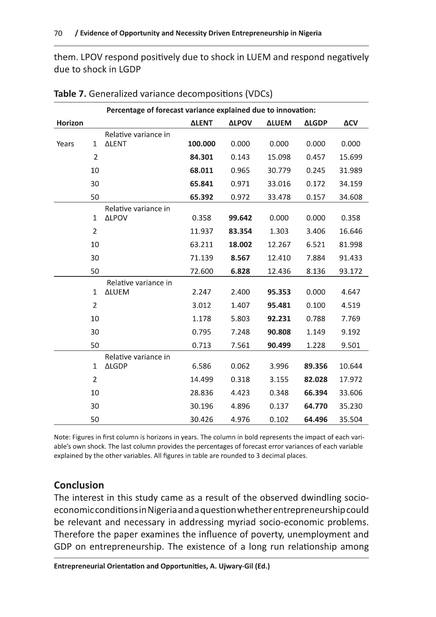them. LPOV respond positively due to shock in LUEM and respond negatively due to shock in LGDP

|         |                | Percentage of forecast variance explained due to innovation: |              |              |              |              |        |  |
|---------|----------------|--------------------------------------------------------------|--------------|--------------|--------------|--------------|--------|--|
| Horizon |                |                                                              | <b>ALENT</b> | <b>ALPOV</b> | <b>ALUEM</b> | <b>ALGDP</b> | ΔCV    |  |
|         |                | Relative variance in                                         |              |              |              |              |        |  |
| Years   | $\mathbf 1$    | <b>ALENT</b>                                                 | 100.000      | 0.000        | 0.000        | 0.000        | 0.000  |  |
|         | $\overline{2}$ |                                                              | 84.301       | 0.143        | 15.098       | 0.457        | 15.699 |  |
|         | 10             |                                                              | 68.011       | 0.965        | 30.779       | 0.245        | 31.989 |  |
|         | 30             |                                                              | 65.841       | 0.971        | 33.016       | 0.172        | 34.159 |  |
|         | 50             |                                                              | 65.392       | 0.972        | 33.478       | 0.157        | 34.608 |  |
|         |                | Relative variance in                                         |              |              |              |              |        |  |
|         | 1              | <b>ALPOV</b>                                                 | 0.358        | 99.642       | 0.000        | 0.000        | 0.358  |  |
|         | $\overline{2}$ |                                                              | 11.937       | 83.354       | 1.303        | 3.406        | 16.646 |  |
|         | 10             |                                                              | 63.211       | 18.002       | 12.267       | 6.521        | 81.998 |  |
|         | 30             |                                                              | 71.139       | 8.567        | 12.410       | 7.884        | 91.433 |  |
|         | 50             |                                                              | 72.600       | 6.828        | 12.436       | 8.136        | 93.172 |  |
|         |                | Relative variance in                                         |              |              |              |              |        |  |
|         | $\mathbf{1}$   | <b>ALUEM</b>                                                 | 2.247        | 2.400        | 95.353       | 0.000        | 4.647  |  |
|         | $\overline{2}$ |                                                              | 3.012        | 1.407        | 95.481       | 0.100        | 4.519  |  |
|         | 10             |                                                              | 1.178        | 5.803        | 92.231       | 0.788        | 7.769  |  |
|         | 30             |                                                              | 0.795        | 7.248        | 90.808       | 1.149        | 9.192  |  |
|         | 50             |                                                              | 0.713        | 7.561        | 90.499       | 1.228        | 9.501  |  |
|         |                | Relative variance in                                         |              |              |              |              |        |  |
|         | $\mathbf{1}$   | <b>ALGDP</b>                                                 | 6.586        | 0.062        | 3.996        | 89.356       | 10.644 |  |
|         | $\overline{2}$ |                                                              | 14.499       | 0.318        | 3.155        | 82.028       | 17.972 |  |
|         | 10             |                                                              | 28.836       | 4.423        | 0.348        | 66.394       | 33.606 |  |
|         | 30             |                                                              | 30.196       | 4.896        | 0.137        | 64.770       | 35.230 |  |
|         | 50             |                                                              | 30.426       | 4.976        | 0.102        | 64.496       | 35.504 |  |

Table 7. Generalized variance decompositions (VDCs)

Note: Figures in first column is horizons in years. The column in bold represents the impact of each variable's own shock. The last column provides the percentages of forecast error variances of each variable explained by the other variables. All figures in table are rounded to 3 decimal places.

## **Conclusion**

The interest in this study came as a result of the observed dwindling socioeconomic conditions in Nigeria and a question whether entrepreneurship could be relevant and necessary in addressing myriad socio-economic problems. Therefore the paper examines the influence of poverty, unemployment and GDP on entrepreneurship. The existence of a long run relationship among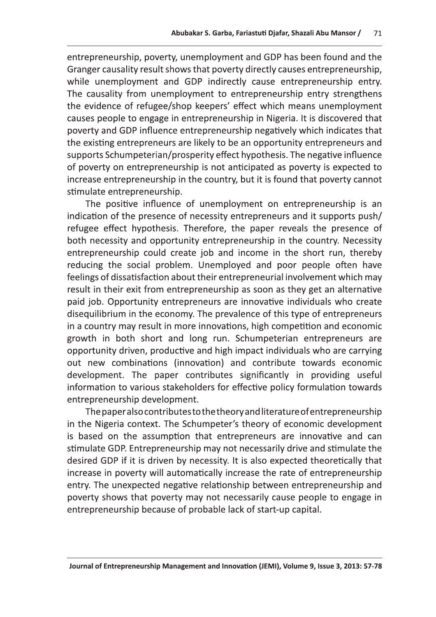Abubakar S. Garba, Fariastuti Djafar, Shazali Abu Mansor / 71<br>
entrepreneurship, poverty, unemployment and GDP has been found and the<br>
Granger causality result shows that poverty directly causes entrepreneurship,<br>
while un poverty and GDP influence entrepreneurship negatively which indicates that the existing entrepreneurs are likely to be an opportunity entrepreneurs and supports Schumpeterian/prosperity effect hypothesis. The negative influence of poverty on entrepreneurship is not anticipated as poverty is expected to increase entrepreneurship in the country, but it is found that poverty cannot stimulate entrepreneurship.

The positive influence of unemployment on entrepreneurship is an indication of the presence of necessity entrepreneurs and it supports push/ refugee effect hypothesis. Therefore, the paper reveals the presence of both necessity and opportunity entrepreneurship in the country. Necessity entrepreneurship could create job and income in the short run, thereby reducing the social problem. Unemployed and poor people often have feelings of dissatisfaction about their entrepreneurial involvement which may result in their exit from entrepreneurship as soon as they get an alternative paid job. Opportunity entrepreneurs are innovative individuals who create disequilibrium in the economy. The prevalence of this type of entrepreneurs in a country may result in more innovations, high competition and economic growth in both short and long run. Schumpeterian entrepreneurs are opportunity driven, productive and high impact individuals who are carrying out new combinations (innovation) and contribute towards economic development. The paper contributes significantly in providing useful information to various stakeholders for effective policy formulation towards entrepreneurship development.

The paper also contributes to the theory and literature of entrepreneurship in the Nigeria context. The Schumpeter's theory of economic development is based on the assumption that entrepreneurs are innovative and can stimulate GDP. Entrepreneurship may not necessarily drive and stimulate the desired GDP if it is driven by necessity. It is also expected theoretically that increase in poverty will automatically increase the rate of entrepreneurship entry. The unexpected negative relationship between entrepreneurship and poverty shows that poverty may not necessarily cause people to engage in entrepreneurship because of probable lack of start-up capital.

Journal of Entrepreneurship Management and Innovation (JEMI). Volume 9. Issue 3. 2013: 57-78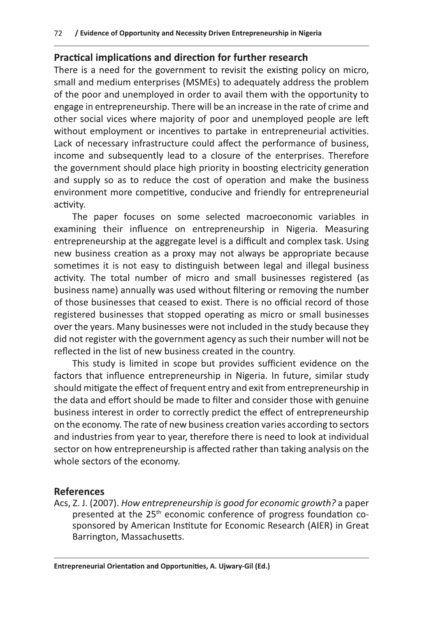## **Practical implications and direction for further research**

There is a need for the government to revisit the existing policy on micro, small and medium enterprises (MSMEs) to adequately address the problem of the poor and unemployed in order to avail them with the opportunity to engage in entrepreneurship. There will be an increase in the rate of crime and other social vices where majority of poor and unemployed people are left without employment or incentives to partake in entrepreneurial activities. Lack of necessary infrastructure could affect the performance of business, income and subsequently lead to a closure of the enterprises. Therefore the government should place high priority in boosting electricity generation and supply so as to reduce the cost of operation and make the business environment more competitive, conducive and friendly for entrepreneurial activity.

The paper focuses on some selected macroeconomic variables in examining their influence on entrepreneurship in Nigeria. Measuring entrepreneurship at the aggregate level is a difficult and complex task. Using new business creation as a proxy may not always be appropriate because sometimes it is not easy to distinguish between legal and illegal business activity. The total number of micro and small businesses registered (as business name) annually was used without filtering or removing the number of those businesses that ceased to exist. There is no official record of those registered businesses that stopped operating as micro or small businesses over the years. Many businesses were not included in the study because they did not register with the government agency as such their number will not be reflected in the list of new business created in the country.

This study is limited in scope but provides sufficient evidence on the factors that influence entrepreneurship in Nigeria. In future, similar study should mitigate the effect of frequent entry and exit from entrepreneurship in the data and effort should be made to filter and consider those with genuine business interest in order to correctly predict the effect of entrepreneurship on the economy. The rate of new business creation varies according to sectors and industries from year to year, therefore there is need to look at individual sector on how entrepreneurship is affected rather than taking analysis on the whole sectors of the economy.

## **References**

Acs, Z. J. (2007). How entrepreneurship is good for economic growth? a paper presented at the 25<sup>th</sup> economic conference of progress foundation cosponsored by American Institute for Economic Research (AIER) in Great Barrington, Massachusetts.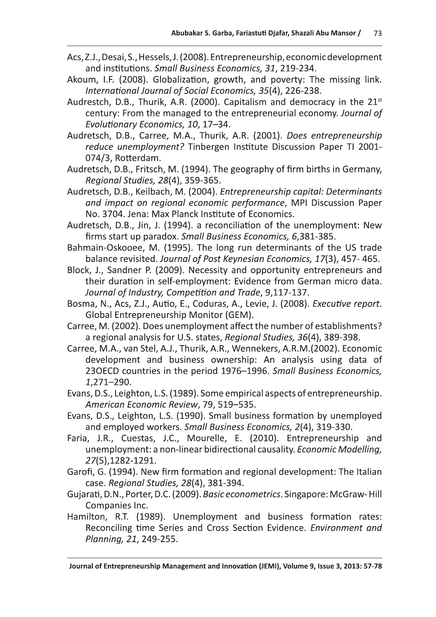- Acs, Z.J., Desai, S., Hessels, J. (2008). Entrepreneurship, economic development and institutions. Small Business Economics, 31, 219-234.
- Akoum, I.F. (2008). Globalization, growth, and poverty: The missing link. International Journal of Social Economics, 35(4), 226-238.
- Audrestch, D.B., Thurik, A.R. (2000). Capitalism and democracy in the 21<sup>st</sup> century: From the managed to the entrepreneurial economy. Journal of Evolutionary Economics, 10, 17-34.
- Audretsch, D.B., Carree, M.A., Thurik, A.R. (2001). Does entrepreneurship reduce unemployment? Tinbergen Institute Discussion Paper TI 2001-074/3, Rotterdam.
- Audretsch, D.B., Fritsch, M. (1994). The geography of firm births in Germany, Regional Studies, 28(4), 359-365.
- Audretsch, D.B., Keilbach, M. (2004). Entrepreneurship capital: Determinants and impact on regional economic performance, MPI Discussion Paper No. 3704. Jena: Max Planck Institute of Economics.
- Audretsch, D.B., Jin, J. (1994). a reconciliation of the unemployment: New firms start up paradox. Small Business Economics, 6,381-385.
- Bahmain-Oskooee, M. (1995). The long run determinants of the US trade balance revisited. Journal of Post Keynesian Economics, 17(3), 457-465.
- Block, J., Sandner P. (2009). Necessity and opportunity entrepreneurs and their duration in self-employment: Evidence from German micro data. Journal of Industry, Competition and Trade, 9,117-137.
- Bosma, N., Acs, Z.J., Autio, E., Coduras, A., Levie, J. (2008). Executive report. Global Entrepreneurship Monitor (GEM).
- Carree, M. (2002). Does unemployment affect the number of establishments? a regional analysis for U.S. states, Regional Studies, 36(4), 389-398.
- Carree, M.A., van Stel, A.J., Thurik, A.R., Wennekers, A.R.M. (2002). Economic development and business ownership: An analysis using data of 230ECD countries in the period 1976-1996. Small Business Economics, 1,271-290.
- Evans, D.S., Leighton, L.S. (1989). Some empirical aspects of entrepreneurship. American Economic Review, 79, 519-535.
- Evans, D.S., Leighton, L.S. (1990). Small business formation by unemployed and employed workers. Small Business Economics, 2(4), 319-330.
- Faria, J.R., Cuestas, J.C., Mourelle, E. (2010). Entrepreneurship and unemployment: a non-linear bidirectional causality. Economic Modelling, 27(5), 1282-1291.
- Garofi, G. (1994). New firm formation and regional development: The Italian case. Regional Studies, 28(4), 381-394.
- Gujarati, D.N., Porter, D.C. (2009). Basic econometrics. Singapore: McGraw-Hill Companies Inc.
- Hamilton, R.T. (1989). Unemployment and business formation rates: Reconciling time Series and Cross Section Evidence. Environment and Planning, 21, 249-255.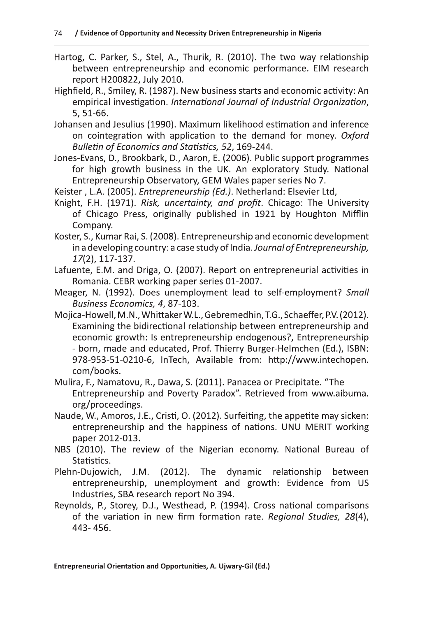- Hartog, C. Parker, S., Stel, A., Thurik, R. (2010). The two way relationship between entrepreneurship and economic performance. EIM research report H200822, July 2010.
- Highfield, R., Smiley, R. (1987). New business starts and economic activity: An empirical investigation. International Journal of Industrial Organization, 5, 51-66.
- Johansen and Jesulius (1990). Maximum likelihood estimation and inference on cointegration with application to the demand for money. Oxford Bulletin of Economics and Statistics, 52, 169-244.
- Jones-Evans, D., Brookbark, D., Aaron, E. (2006). Public support programmes for high growth business in the UK. An exploratory Study. National Entrepreneurship Observatory, GEM Wales paper series No 7.

Keister, L.A. (2005). Entrepreneurship (Ed.). Netherland: Elsevier Ltd,

- Knight, F.H. (1971). Risk, uncertainty, and profit. Chicago: The University of Chicago Press, originally published in 1921 by Houghton Mifflin Company.
- Koster, S., Kumar Rai, S. (2008). Entrepreneurship and economic development in a developing country: a case study of India. Journal of Entrepreneurship, 17(2), 117-137.
- Lafuente, E.M. and Driga, O. (2007). Report on entrepreneurial activities in Romania. CEBR working paper series 01-2007.
- Meager, N. (1992). Does unemployment lead to self-employment? Small Business Economics, 4, 87-103.
- Mojica-Howell, M.N., Whittaker W.L., Gebremedhin, T.G., Schaeffer, P.V. (2012). Examining the bidirectional relationship between entrepreneurship and economic growth: Is entrepreneurship endogenous?, Entrepreneurship - born, made and educated, Prof. Thierry Burger-Helmchen (Ed.), ISBN: 978-953-51-0210-6, InTech, Available from: http://www.intechopen. com/books.
- Mulira, F., Namatovu, R., Dawa, S. (2011). Panacea or Precipitate. "The Entrepreneurship and Poverty Paradox". Retrieved from www.aibuma. org/proceedings.
- Naude, W., Amoros, J.E., Cristi, O. (2012). Surfeiting, the appetite may sicken: entrepreneurship and the happiness of nations. UNU MERIT working paper 2012-013.
- NBS (2010). The review of the Nigerian economy. National Bureau of Statistics.
- Plehn-Duiowich. J.M. (2012). The dynamic relationship between entrepreneurship, unemployment and growth: Evidence from US Industries, SBA research report No 394.
- Reynolds, P., Storey, D.J., Westhead, P. (1994). Cross national comparisons of the variation in new firm formation rate. Regional Studies, 28(4), 443-456.

Entrepreneurial Orientation and Opportunities, A. Ujwary-Gil (Ed.)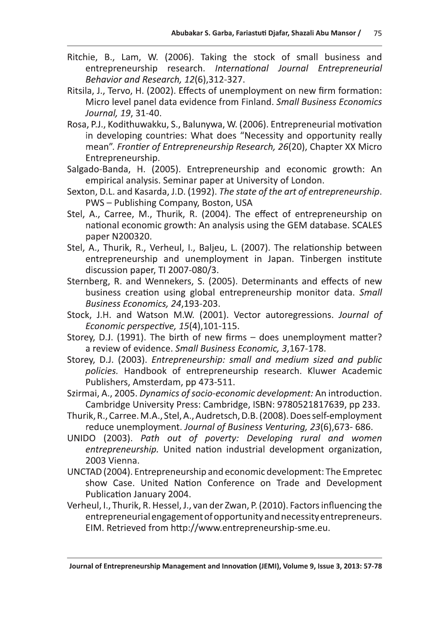- Ritchie, B., Lam, W. (2006). Taking the stock of small business and entrepreneurship research. International Journal Entrepreneurial Behavior and Research, 12(6), 312-327.
- Ritsila, J., Tervo, H. (2002). Effects of unemployment on new firm formation: Micro level panel data evidence from Finland. Small Business Economics Journal, 19, 31-40.
- Rosa, P.J., Kodithuwakku, S., Balunywa, W. (2006). Entrepreneurial motivation in developing countries: What does "Necessity and opportunity really mean". Frontier of Entrepreneurship Research, 26(20), Chapter XX Micro Entrepreneurship.
- Salgado-Banda, H. (2005). Entrepreneurship and economic growth: An empirical analysis. Seminar paper at University of London.
- Sexton, D.L. and Kasarda, J.D. (1992). The state of the art of entrepreneurship. PWS - Publishing Company, Boston, USA
- Stel, A., Carree, M., Thurik, R. (2004). The effect of entrepreneurship on national economic growth: An analysis using the GEM database. SCALES paper N200320.
- Stel, A., Thurik, R., Verheul, I., Baljeu, L. (2007). The relationship between entrepreneurship and unemployment in Japan. Tinbergen institute discussion paper, TI 2007-080/3.
- Sternberg, R. and Wennekers, S. (2005). Determinants and effects of new business creation using global entrepreneurship monitor data. Small Business Economics, 24,193-203.
- Stock, J.H. and Watson M.W. (2001). Vector autoregressions. Journal of Economic perspective, 15(4), 101-115.
- Storey, D.J. (1991). The birth of new firms does unemployment matter? a review of evidence. Small Business Economic, 3,167-178.
- Storey, D.J. (2003). Entrepreneurship: small and medium sized and public policies. Handbook of entrepreneurship research. Kluwer Academic Publishers, Amsterdam, pp 473-511.
- Szirmai, A., 2005. Dynamics of socio-economic development: An introduction. Cambridge University Press: Cambridge, ISBN: 9780521817639, pp 233.
- Thurik, R., Carree. M.A., Stel, A., Audretsch, D.B. (2008). Does self-employment reduce unemployment. Journal of Business Venturing, 23(6),673-686.
- UNIDO (2003). Path out of poverty: Developing rural and women entrepreneurship. United nation industrial development organization, 2003 Vienna.
- UNCTAD (2004). Entrepreneurship and economic development: The Empretec show Case. United Nation Conference on Trade and Development Publication January 2004.
- Verheul, I., Thurik, R. Hessel, J., van der Zwan, P. (2010). Factors influencing the entrepreneurial engagement of opportunity and necessity entrepreneurs. EIM. Retrieved from http://www.entrepreneurship-sme.eu.

Journal of Entrepreneurship Management and Innovation (JEMI), Volume 9, Issue 3, 2013: 57-78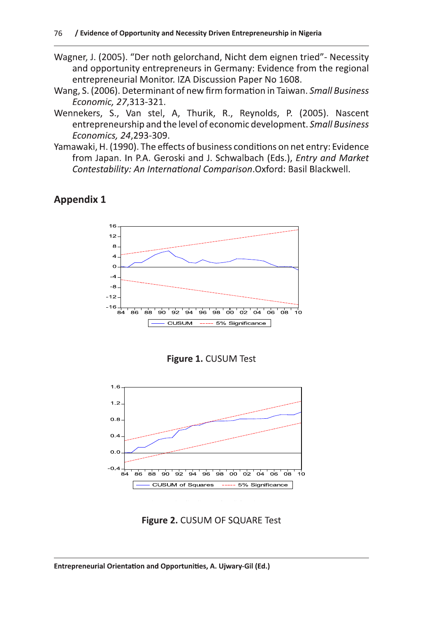- Wagner, J. (2005). "Der noth gelorchand, Nicht dem eignen tried" Necessity and opportunity entrepreneurs in Germany: Evidence from the regional entrepreneurial Monitor. IZA Discussion Paper No 1608.
- Wang, S. (2006). Determinant of new firm formation in Taiwan. Small Business Economic, 27,313-321.
- Wennekers, S., Van stel, A, Thurik, R., Reynolds, P. (2005). Nascent entrepreneurship and the level of economic development. Small Business Economics, 24,293-309.
- Yamawaki, H. (1990). The effects of business conditions on net entry: Evidence from Japan. In P.A. Geroski and J. Schwalbach (Eds.), Entry and Market Contestability: An International Comparison. Oxford: Basil Blackwell.

## **Appendix 1**







Figure 2. CUSUM OF SQUARE Test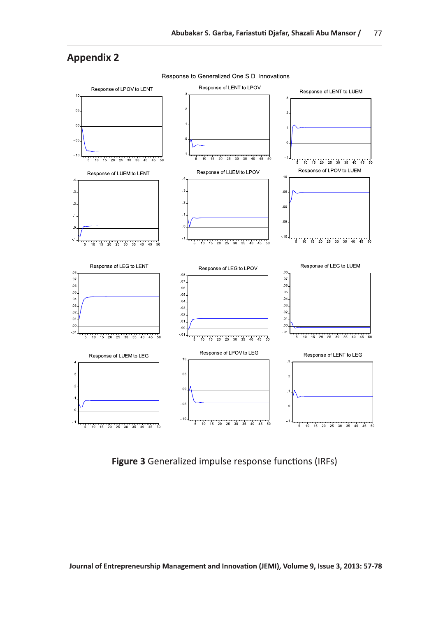

**Figure 3** Generalized impulse response functions (IRFs)